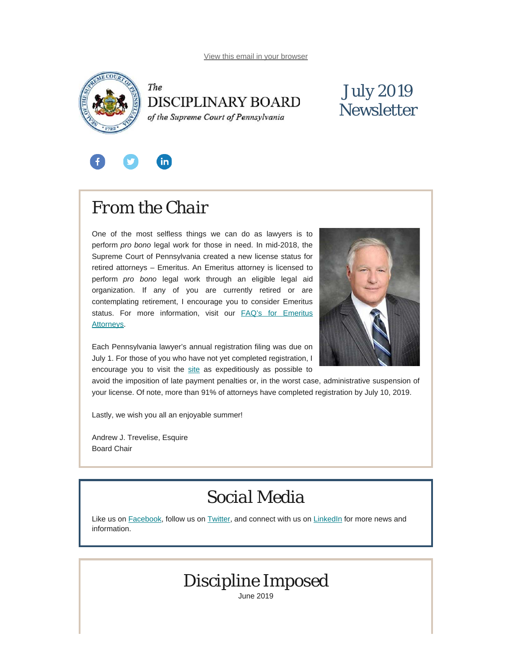<span id="page-0-0"></span>



### July 2019 **Newsletter**



## *From the Chair*

One of the most selfless things we can do as lawyers is to perform *pro bono* legal work for those in need. In mid-2018, the Supreme Court of Pennsylvania created a new license status for retired attorneys – Emeritus. An Emeritus attorney is licensed to perform *pro bono* legal work through an eligible legal aid organization. If any of you are currently retired or are contemplating retirement, I encourage you to consider Emeritus status. For more information, visit our **[FAQ's for Emeritus](https://www.padisciplinaryboard.org/for-attorneys/resources#Emeritus)** [Attorneys.](https://www.padisciplinaryboard.org/for-attorneys/resources#Emeritus)



Each Pennsylvania lawyer's annual registration filing was due on July 1. For those of you who have not yet completed registration, I encourage you to visit the [site](https://ujsportal.pacourts.us/Secure/AttorneyAnnualRegistration/PendingRegistrations.aspx) as expeditiously as possible to

avoid the imposition of late payment penalties or, in the worst case, administrative suspension of your license. Of note, more than 91% of attorneys have completed registration by July 10, 2019.

Lastly, we wish you all an enjoyable summer!

Andrew J. Trevelise, Esquire Board Chair

### *Social Media*

Like us on [Facebook](https://www.facebook.com/DBoardPA), follow us on [Twitter,](https://twitter.com/DBoardPa) and connect with us on [LinkedIn](https://www.linkedin.com/company/pennsylvania-disciplinary-board/) for more news and information.

### *Discipline Imposed*

June 2019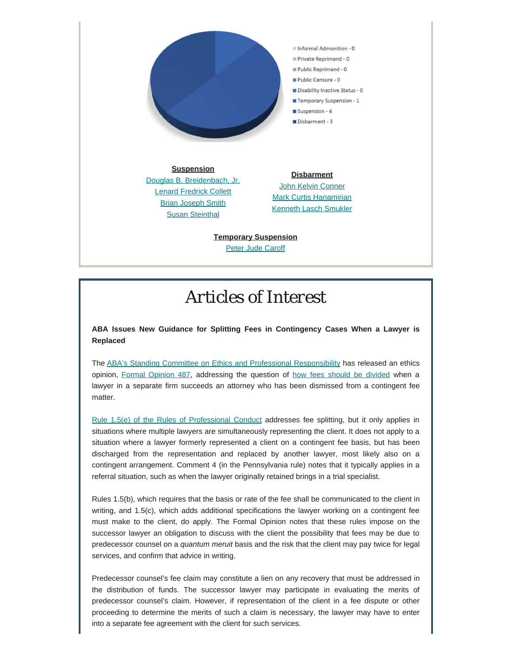

**Suspension** [Douglas B. Breidenbach, Jr.](http://www.pacourts.us/assets/opinions/DisciplinaryBoard/out/89DB2019-Breidenbach.pdf) [Lenard Fredrick Collett](http://www.pacourts.us/assets/opinions/DisciplinaryBoard/out/68DB2019-Collett.pdf) **[Brian Joseph Smith](http://www.pacourts.us/assets/opinions/DisciplinaryBoard/out/236DB2018-Smith.pdf)** [Susan Steinthal](http://www.pacourts.us/assets/opinions/DisciplinaryBoard/out/156DB2018-Steinthal.pdf)

**Disbarment** [John Kelvin Conner](http://www.pacourts.us/assets/opinions/DisciplinaryBoard/out/29DB2018-Conner.pdf) [Mark Curtis Hanamirian](http://www.pacourts.us/assets/opinions/DisciplinaryBoard/out/224DB2018-Hanamirian.pdf) [Kenneth Lasch Smukler](http://www.pacourts.us/assets/opinions/DisciplinaryBoard/out/34DB2019-Smukler.pdf)

**Temporary Suspension [Peter Jude Caroff](http://www.pacourts.us/assets/opinions/DisciplinaryBoard/out/Caroff%20Order.pdf)** 

### *Articles of Interest*

**ABA Issues New Guidance for Splitting Fees in Contingency Cases When a Lawyer is Replaced**

The [ABA's Standing Committee on Ethics and Professional Responsibility](https://www.americanbar.org/news/abanews/aba-news-archives/2019/06/aba-issues-new-guidance-for-splitting-fees-in-contingency-cases-/) has released an ethics opinion, [Formal Opinion 487](https://www.americanbar.org/content/dam/aba/images/news/2019/06/FormalOpinion487.pdf), addressing the question of [how fees should be divided](http://www.abajournal.com/web/article/aba-issues-new-guidance-for-splitting-fees-in-contingency-cases-when-a-lawyer-is-replaced) when a lawyer in a separate firm succeeds an attorney who has been dismissed from a contingent fee matter.

[Rule 1.5\(e\) of the Rules of Professional Conduct](https://www.padisciplinaryboard.org/for-attorneys/rules/rule/3/the-rules-of-professional-conduct#rule-110) addresses fee splitting, but it only applies in situations where multiple lawyers are simultaneously representing the client. It does not apply to a situation where a lawyer formerly represented a client on a contingent fee basis, but has been discharged from the representation and replaced by another lawyer, most likely also on a contingent arrangement. Comment 4 (in the Pennsylvania rule) notes that it typically applies in a referral situation, such as when the lawyer originally retained brings in a trial specialist.

Rules 1.5(b), which requires that the basis or rate of the fee shall be communicated to the client in writing, and 1.5(c), which adds additional specifications the lawyer working on a contingent fee must make to the client, do apply. The Formal Opinion notes that these rules impose on the successor lawyer an obligation to discuss with the client the possibility that fees may be due to predecessor counsel on a *quantum meruit* basis and the risk that the client may pay twice for legal services, and confirm that advice in writing.

Predecessor counsel's fee claim may constitute a lien on any recovery that must be addressed in the distribution of funds. The successor lawyer may participate in evaluating the merits of predecessor counsel's claim. However, if representation of the client in a fee dispute or other proceeding to determine the merits of such a claim is necessary, the lawyer may have to enter into a separate fee agreement with the client for such services.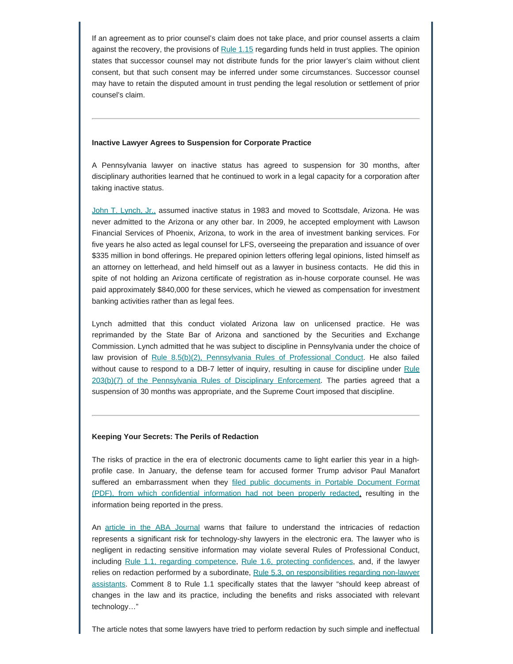If an agreement as to prior counsel's claim does not take place, and prior counsel asserts a claim against the recovery, the provisions of Rule  $1.15$  regarding funds held in trust applies. The opinion states that successor counsel may not distribute funds for the prior lawyer's claim without client consent, but that such consent may be inferred under some circumstances. Successor counsel may have to retain the disputed amount in trust pending the legal resolution or settlement of prior counsel's claim.

#### **Inactive Lawyer Agrees to Suspension for Corporate Practice**

A Pennsylvania lawyer on inactive status has agreed to suspension for 30 months, after disciplinary authorities learned that he continued to work in a legal capacity for a corporation after taking inactive status.

[John T. Lynch, Jr.,](http://www.pacourts.us/assets/opinions/DisciplinaryBoard/out/137DB2018-Lynch.pdf) assumed inactive status in 1983 and moved to Scottsdale, Arizona. He was never admitted to the Arizona or any other bar. In 2009, he accepted employment with Lawson Financial Services of Phoenix, Arizona, to work in the area of investment banking services. For five years he also acted as legal counsel for LFS, overseeing the preparation and issuance of over \$335 million in bond offerings. He prepared opinion letters offering legal opinions, listed himself as an attorney on letterhead, and held himself out as a lawyer in business contacts. He did this in spite of not holding an Arizona certificate of registration as in-house corporate counsel. He was paid approximately \$840,000 for these services, which he viewed as compensation for investment banking activities rather than as legal fees.

Lynch admitted that this conduct violated Arizona law on unlicensed practice. He was reprimanded by the State Bar of Arizona and sanctioned by the Securities and Exchange Commission. Lynch admitted that he was subject to discipline in Pennsylvania under the choice of law provision of [Rule 8.5\(b\)\(2\), Pennsylvania Rules of Professional Conduct](https://www.padisciplinaryboard.org/for-attorneys/rules/rule/3/the-rules-of-professional-conduct#rule-261). He also failed without cause to respond to a DB-7 letter of inquiry, resulting in cause for discipline under [Rule](https://www.padisciplinaryboard.org/for-attorneys/rules/rule/5/the-pennsylvania-rules-of-disciplinary-enforcement#rule-19) [203\(b\)\(7\) of the Pennsylvania Rules of Disciplinary Enforcement](https://www.padisciplinaryboard.org/for-attorneys/rules/rule/5/the-pennsylvania-rules-of-disciplinary-enforcement#rule-19). The parties agreed that a suspension of 30 months was appropriate, and the Supreme Court imposed that discipline.

#### **Keeping Your Secrets: The Perils of Redaction**

The risks of practice in the era of electronic documents came to light earlier this year in a highprofile case. In January, the defense team for accused former Trump advisor Paul Manafort suffered an embarrassment when they [filed public documents in Portable Document Format](http://fortune.com/2019/01/08/manafort-trump-shared-polling-data-with-russia-agent/) [\(PDF\), from which confidential information had not been properly redacted,](http://fortune.com/2019/01/08/manafort-trump-shared-polling-data-with-russia-agent/) resulting in the information being reported in the press.

An [article in the ABA Journal](http://www.abajournal.com/magazine/article/redacting-confidential-client-information) warns that failure to understand the intricacies of redaction represents a significant risk for technology-shy lawyers in the electronic era. The lawyer who is negligent in redacting sensitive information may violate several Rules of Professional Conduct, including [Rule 1.1, regarding competence](https://www.padisciplinaryboard.org/for-attorneys/rules/rule/3/the-rules-of-professional-conduct#rule-6), [Rule 1.6, protecting confidences](https://www.padisciplinaryboard.org/for-attorneys/rules/rule/3/the-rules-of-professional-conduct#rule-111), and, if the lawyer relies on redaction performed by a subordinate, [Rule 5.3, on responsibilities regarding non-lawyer](https://www.padisciplinaryboard.org/for-attorneys/rules/rule/3/the-rules-of-professional-conduct#rule-182) [assistants.](https://www.padisciplinaryboard.org/for-attorneys/rules/rule/3/the-rules-of-professional-conduct#rule-182) Comment 8 to Rule 1.1 specifically states that the lawyer "should keep abreast of changes in the law and its practice, including the benefits and risks associated with relevant technology…"

The article notes that some lawyers have tried to perform redaction by such simple and ineffectual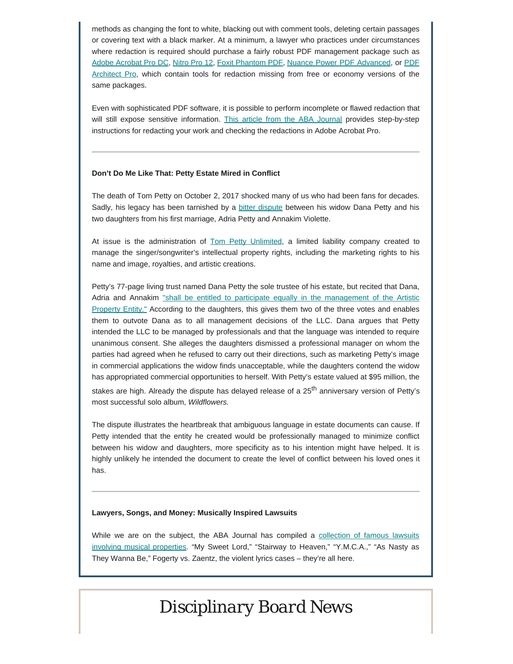methods as changing the font to white, blacking out with comment tools, deleting certain passages or covering text with a black marker. At a minimum, a lawyer who practices under circumstances where redaction is required should purchase a fairly robust PDF management package such as [Adobe Acrobat Pro DC,](https://helpx.adobe.com/acrobat/using/removing-sensitive-content-pdfs.html) [Nitro Pro 12](https://www.gonitro.com/nps/pro/pdf-software), [Foxit Phantom PDF](https://www.foxitsoftware.com/pdf-editor/protect-sign-pdf/), [Nuance Power PDF Advanced](https://www.nuance.com/print-capture-and-pdf-solutions/pdf-and-document-conversion/power-pdf-converter/power-pdf-advanced.html), or [PDF](https://www.pdfforge.org/pdfarchitect/features) [Architect Pro,](https://www.pdfforge.org/pdfarchitect/features) which contain tools for redaction missing from free or economy versions of the same packages.

Even with sophisticated PDF software, it is possible to perform incomplete or flawed redaction that will still expose sensitive information. [This article from the ABA Journal](http://www.abajournal.com/news/article/paul-manaforts-attorneys-failed-at-redacting-learn-how-to-do-it-right) provides step-by-step instructions for redacting your work and checking the redactions in Adobe Acrobat Pro.

#### **Don't Do Me Like That: Petty Estate Mired in Conflict**

The death of Tom Petty on October 2, 2017 shocked many of us who had been fans for decades. Sadly, his legacy has been tarnished by a [bitter dispute](https://www.forbes.com/sites/trialandheirs/2019/05/30/the-tom-petty-estate-battle-from-wildflowers-to-a-wildfire/#1bfcfcd54e95) between his widow Dana Petty and his two daughters from his first marriage, Adria Petty and Annakim Violette.

At issue is the administration of [Tom Petty Unlimited,](https://www.cnn.com/2019/05/16/entertainment/tom-pettys-daughters-wife-estate-trnd/index.html) a limited liability company created to manage the singer/songwriter's intellectual property rights, including the marketing rights to his name and image, royalties, and artistic creations.

Petty's 77-page living trust named Dana Petty the sole trustee of his estate, but recited that Dana, Adria and Annakim ["shall be entitled to participate equally in the management of the Artistic](https://www.jdsupra.com/legalnews/the-tom-petty-estate-a-cautionary-tale-57104/) [Property Entity."](https://www.jdsupra.com/legalnews/the-tom-petty-estate-a-cautionary-tale-57104/) According to the daughters, this gives them two of the three votes and enables them to outvote Dana as to all management decisions of the LLC. Dana argues that Petty intended the LLC to be managed by professionals and that the language was intended to require unanimous consent. She alleges the daughters dismissed a professional manager on whom the parties had agreed when he refused to carry out their directions, such as marketing Petty's image in commercial applications the widow finds unacceptable, while the daughters contend the widow has appropriated commercial opportunities to herself. With Petty's estate valued at \$95 million, the stakes are high. Already the dispute has delayed release of a  $25<sup>th</sup>$  anniversary version of Petty's most successful solo album, *Wildflowers.*

The dispute illustrates the heartbreak that ambiguous language in estate documents can cause. If Petty intended that the entity he created would be professionally managed to minimize conflict between his widow and daughters, more specificity as to his intention might have helped. It is highly unlikely he intended the document to create the level of conflict between his loved ones it has.

#### **Lawyers, Songs, and Money: Musically Inspired Lawsuits**

While we are on the subject, the ABA Journal has compiled a [collection of famous lawsuits](http://www.abajournal.com/magazine/article/lawyers-songs-money-copyright-litigation) [involving musical properties.](http://www.abajournal.com/magazine/article/lawyers-songs-money-copyright-litigation) "My Sweet Lord," "Stairway to Heaven," "Y.M.C.A.," "As Nasty as They Wanna Be," Fogerty vs. Zaentz, the violent lyrics cases – they're all here.

### *Disciplinary Board News*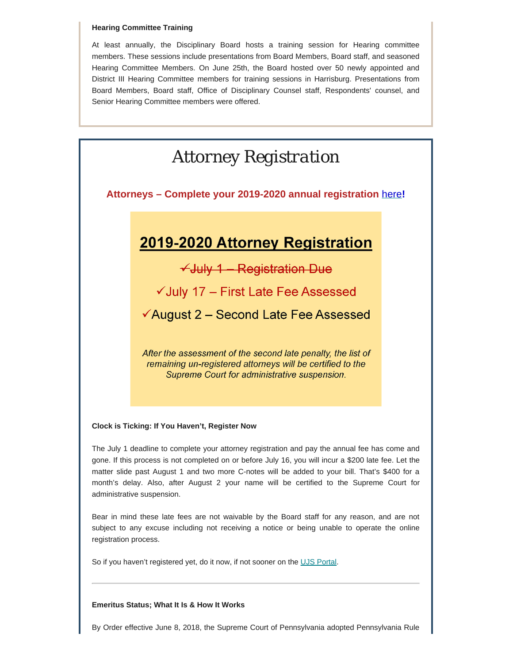#### **Hearing Committee Training**

At least annually, the Disciplinary Board hosts a training session for Hearing committee members. These sessions include presentations from Board Members, Board staff, and seasoned Hearing Committee Members. On June 25th, the Board hosted over 50 newly appointed and District III Hearing Committee members for training sessions in Harrisburg. Presentations from Board Members, Board staff, Office of Disciplinary Counsel staff, Respondents' counsel, and Senior Hearing Committee members were offered.

### *Attorney Registration*

**Attorneys – Complete your 2019-2020 annual registration** [here](https://ujsportal.pacourts.us/Secure/AttorneyAnnualRegistration/PendingRegistrations.aspx)**!**

### 2019-2020 Attorney Registration

 $\checkmark$ July 1 - Registration Due

√ July 17 - First Late Fee Assessed

<del></del> ∕August 2 – Second Late Fee Assessed

After the assessment of the second late penalty, the list of remaining un-registered attorneys will be certified to the Supreme Court for administrative suspension.

#### **Clock is Ticking: If You Haven't, Register Now**

The July 1 deadline to complete your attorney registration and pay the annual fee has come and gone. If this process is not completed on or before July 16, you will incur a \$200 late fee. Let the matter slide past August 1 and two more C-notes will be added to your bill. That's \$400 for a month's delay. Also, after August 2 your name will be certified to the Supreme Court for administrative suspension.

Bear in mind these late fees are not waivable by the Board staff for any reason, and are not subject to any excuse including not receiving a notice or being unable to operate the online registration process.

So if you haven't registered yet, do it now, if not sooner on the [UJS Portal.](https://ujsportal.pacourts.us/Secure/AttorneyAnnualRegistration/PendingRegistrations.aspx)

#### **Emeritus Status; What It Is & How It Works**

By Order effective June 8, 2018, the Supreme Court of Pennsylvania adopted Pennsylvania Rule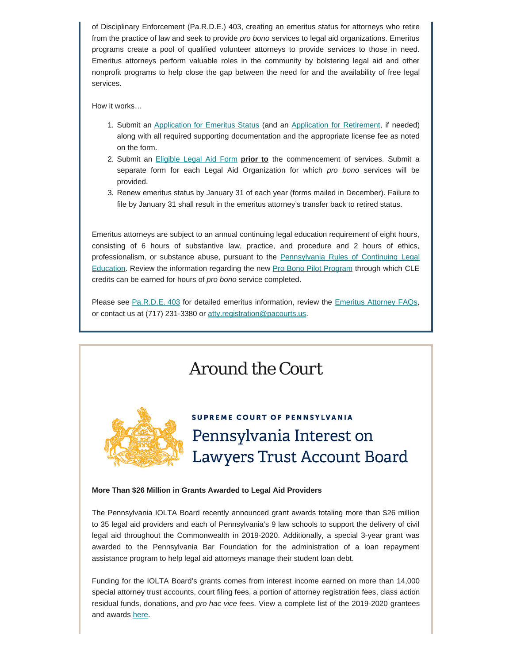of Disciplinary Enforcement (Pa.R.D.E.) 403, creating an emeritus status for attorneys who retire from the practice of law and seek to provide *pro bono* services to legal aid organizations. Emeritus programs create a pool of qualified volunteer attorneys to provide services to those in need. Emeritus attorneys perform valuable roles in the community by bolstering legal aid and other nonprofit programs to help close the gap between the need for and the availability of free legal services.

How it works…

- 1. Submit an [Application for Emeritus Status](https://www.padisciplinaryboard.org/for-attorneys/forms) (and an [Application for Retirement,](https://www.padisciplinaryboard.org/for-attorneys/forms) if needed) along with all required supporting documentation and the appropriate license fee as noted on the form.
- 2. Submit an [Eligible Legal Aid Form](https://www.padisciplinaryboard.org/for-attorneys/forms) **prior to** the commencement of services. Submit a separate form for each Legal Aid Organization for which *pro bono* services will be provided.
- 3. Renew emeritus status by January 31 of each year (forms mailed in December). Failure to file by January 31 shall result in the emeritus attorney's transfer back to retired status.

Emeritus attorneys are subject to an annual continuing legal education requirement of eight hours, consisting of 6 hours of substantive law, practice, and procedure and 2 hours of ethics, professionalism, or substance abuse, pursuant to the [Pennsylvania Rules of Continuing Legal](https://www.pacle.org/rules-and-regulations) [Education.](https://www.pacle.org/rules-and-regulations) Review the information regarding the new [Pro Bono Pilot Program](https://www.pacle.org/providers/pro-bono) through which CLE credits can be earned for hours of *pro bono* service completed.

Please see [Pa.R.D.E. 403](https://www.padisciplinaryboard.org/for-attorneys/rules/rule/5/the-pennsylvania-rules-of-disciplinary-enforcement#rule-389) for detailed emeritus information, review the [Emeritus Attorney FAQs](https://www.padisciplinaryboard.org/for-attorneys/resources/#Emeritus), or contact us at (717) 231-3380 or [atty.registration@pacourts.us](mailto:atty.registration@pacourts.us).

# *Around the Court* **SUPREME COURT OF PENNSYLVANIA** Pennsylvania Interest on **Lawyers Trust Account Board More Than \$26 Million in Grants Awarded to Legal Aid Providers**

The Pennsylvania IOLTA Board recently announced grant awards totaling more than \$26 million to 35 legal aid providers and each of Pennsylvania's 9 law schools to support the delivery of civil legal aid throughout the Commonwealth in 2019-2020. Additionally, a special 3-year grant was awarded to the Pennsylvania Bar Foundation for the administration of a loan repayment assistance program to help legal aid attorneys manage their student loan debt.

Funding for the IOLTA Board's grants comes from interest income earned on more than 14,000 special attorney trust accounts, court filing fees, a portion of attorney registration fees, class action residual funds, donations, and *pro hac vice* fees. View a complete list of the 2019-2020 grantees and awards [here.](https://www.paiolta.org/grants/)